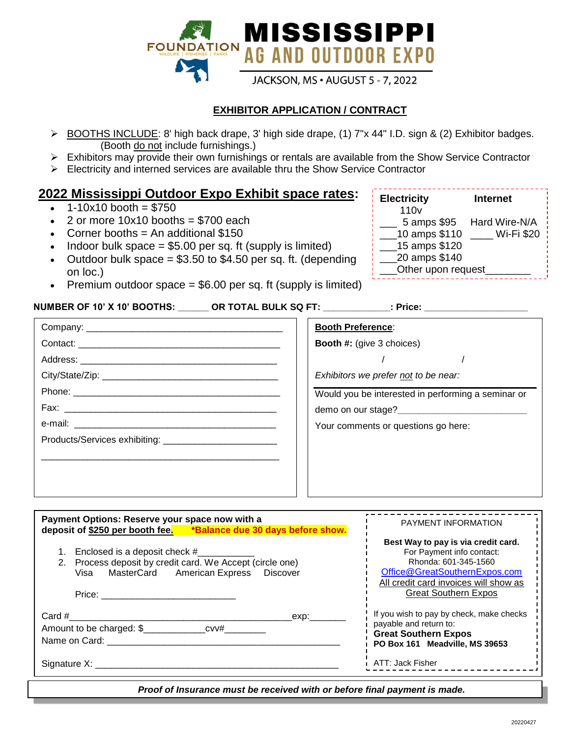

## **EXHIBITOR APPLICATION / CONTRACT**

- BOOTHS INCLUDE: 8' high back drape, 3' high side drape, (1) 7"x 44" I.D. sign & (2) Exhibitor badges. (Booth do not include furnishings.)
- Exhibitors may provide their own furnishings or rentals are available from the Show Service Contractor
- Electricity and interned services are available thru the Show Service Contractor

## **2022 Mississippi Outdoor Expo Exhibit space rates:**

- $\cdot$  1-10x10 booth = \$750
- 2 or more  $10x10$  booths = \$700 each
- Corner booths  $=$  An additional \$150
- $\bullet$  Indoor bulk space = \$5.00 per sq. ft (supply is limited)
- Outdoor bulk space  $= $3.50$  to \$4.50 per sq. ft. (depending on loc.)
- Premium outdoor space  $= $6.00$  per sq. ft (supply is limited)

### **NUMBER OF 10' X 10' BOOTHS: \_\_\_\_\_\_ OR TOTAL BULK SQ FT: \_\_\_\_\_\_\_\_\_\_\_\_\_: Price: \_\_\_\_\_\_\_\_\_\_\_\_\_\_\_\_\_\_\_\_**

| <b>Electricity</b> | <b>Internet</b> |
|--------------------|-----------------|
| 110 <sub>v</sub>   |                 |
| 5 amps \$95        | Hard Wire-N/A   |
| 10 amps \$110      | Wi-Fi \$20      |
| 15 amps \$120      |                 |
| 20 amps \$140      |                 |
| Other upon request |                 |
|                    |                 |

| <b>Booth Preference:</b>                           |  |
|----------------------------------------------------|--|
| <b>Booth #: (give 3 choices)</b>                   |  |
|                                                    |  |
| Exhibitors we prefer not to be near:               |  |
| Would you be interested in performing a seminar or |  |
|                                                    |  |
| Your comments or questions go here:                |  |
|                                                    |  |
|                                                    |  |
|                                                    |  |
|                                                    |  |

| Payment Options: Reserve your space now with a<br>deposit of \$250 per booth fee. *Balance due 30 days before show.                                                                                                                                                       | <b>PAYMENT INFORMATION</b>                                                                                                                                                                        |
|---------------------------------------------------------------------------------------------------------------------------------------------------------------------------------------------------------------------------------------------------------------------------|---------------------------------------------------------------------------------------------------------------------------------------------------------------------------------------------------|
| Enclosed is a deposit check #<br>2. Process deposit by credit card. We Accept (circle one)<br>Visa MasterCard American Express Discover                                                                                                                                   | Best Way to pay is via credit card.<br>For Payment info contact:<br>Rhonda: 601-345-1560<br>Office@GreatSouthernExpos.com<br>All credit card invoices will show as<br><b>Great Southern Expos</b> |
| Card #<br>exp: where the control of the control of the control of the control of the control of the control of the control of the control of the control of the control of the control of the control of the control of the control of t<br>Name on Card:<br>Signature X: | If you wish to pay by check, make checks<br>payable and return to:<br><b>Great Southern Expos</b><br>PO Box 161 Meadville, MS 39653<br>ATT: Jack Fisher                                           |

Proof of Insurance must be received with or before final payment is made.